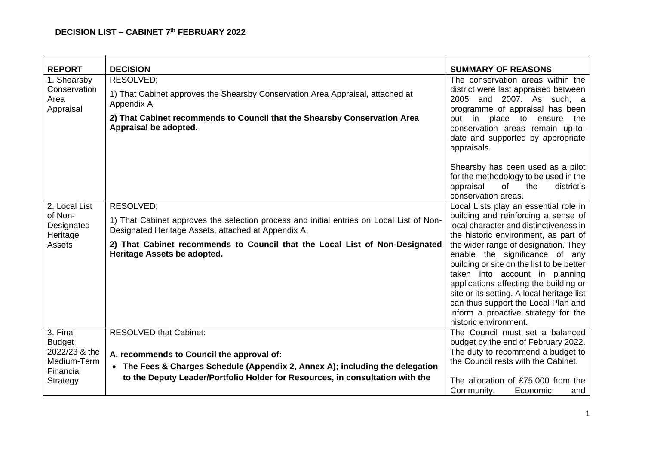## **DECISION LIST – CABINET 7 th FEBRUARY 2022**

| <b>REPORT</b>                     | <b>DECISION</b>                                                                                                                                 | <b>SUMMARY OF REASONS</b>                                                                                                                                                                                                                                                                                                                            |
|-----------------------------------|-------------------------------------------------------------------------------------------------------------------------------------------------|------------------------------------------------------------------------------------------------------------------------------------------------------------------------------------------------------------------------------------------------------------------------------------------------------------------------------------------------------|
| 1. Shearsby<br>Conservation       | RESOLVED;                                                                                                                                       | The conservation areas within the<br>district were last appraised between                                                                                                                                                                                                                                                                            |
| Area                              | 1) That Cabinet approves the Shearsby Conservation Area Appraisal, attached at<br>Appendix A,                                                   | 2005 and 2007. As such, a                                                                                                                                                                                                                                                                                                                            |
| Appraisal                         | 2) That Cabinet recommends to Council that the Shearsby Conservation Area<br>Appraisal be adopted.                                              | programme of appraisal has been<br>put in place to ensure<br>the<br>conservation areas remain up-to-<br>date and supported by appropriate<br>appraisals.                                                                                                                                                                                             |
|                                   |                                                                                                                                                 | Shearsby has been used as a pilot<br>for the methodology to be used in the<br>of<br>district's<br>appraisal<br>the<br>conservation areas.                                                                                                                                                                                                            |
| 2. Local List                     | RESOLVED;                                                                                                                                       | Local Lists play an essential role in                                                                                                                                                                                                                                                                                                                |
| of Non-<br>Designated<br>Heritage | 1) That Cabinet approves the selection process and initial entries on Local List of Non-<br>Designated Heritage Assets, attached at Appendix A, | building and reinforcing a sense of<br>local character and distinctiveness in<br>the historic environment, as part of                                                                                                                                                                                                                                |
| Assets                            | 2) That Cabinet recommends to Council that the Local List of Non-Designated<br>Heritage Assets be adopted.                                      | the wider range of designation. They<br>enable the significance of any<br>building or site on the list to be better<br>taken into account in planning<br>applications affecting the building or<br>site or its setting. A local heritage list<br>can thus support the Local Plan and<br>inform a proactive strategy for the<br>historic environment. |
| 3. Final                          | <b>RESOLVED that Cabinet:</b>                                                                                                                   | The Council must set a balanced                                                                                                                                                                                                                                                                                                                      |
| <b>Budget</b><br>2022/23 & the    |                                                                                                                                                 | budget by the end of February 2022.<br>The duty to recommend a budget to                                                                                                                                                                                                                                                                             |
| Medium-Term                       | A. recommends to Council the approval of:<br>• The Fees & Charges Schedule (Appendix 2, Annex A); including the delegation                      | the Council rests with the Cabinet.                                                                                                                                                                                                                                                                                                                  |
| Financial                         | to the Deputy Leader/Portfolio Holder for Resources, in consultation with the                                                                   |                                                                                                                                                                                                                                                                                                                                                      |
| Strategy                          |                                                                                                                                                 | The allocation of £75,000 from the<br>Community,<br>Economic<br>and                                                                                                                                                                                                                                                                                  |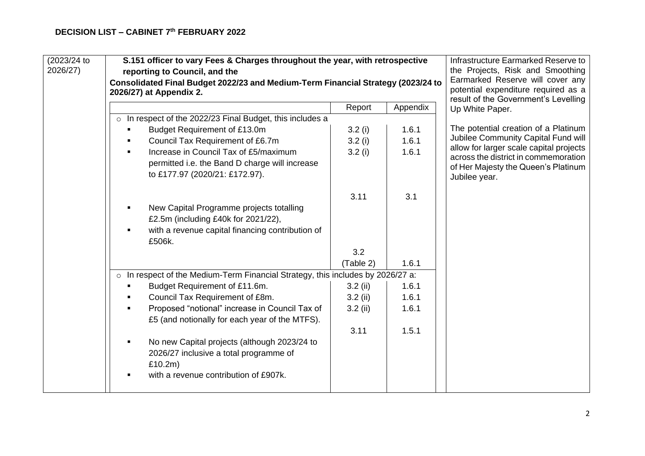| (2023/24 to<br>2026/27) | S.151 officer to vary Fees & Charges throughout the year, with retrospective<br>reporting to Council, and the<br>Consolidated Final Budget 2022/23 and Medium-Term Financial Strategy (2023/24 to<br>2026/27) at Appendix 2. |            |          | Infrastructure Earmarked Reserve to<br>the Projects, Risk and Smoothing<br>Earmarked Reserve will cover any<br>potential expenditure required as a<br>result of the Government's Levelling |
|-------------------------|------------------------------------------------------------------------------------------------------------------------------------------------------------------------------------------------------------------------------|------------|----------|--------------------------------------------------------------------------------------------------------------------------------------------------------------------------------------------|
|                         |                                                                                                                                                                                                                              | Report     | Appendix | Up White Paper.                                                                                                                                                                            |
|                         | In respect of the 2022/23 Final Budget, this includes a<br>$\circ$                                                                                                                                                           |            |          |                                                                                                                                                                                            |
|                         | Budget Requirement of £13.0m                                                                                                                                                                                                 | 3.2(i)     | 1.6.1    | The potential creation of a Platinum                                                                                                                                                       |
|                         | Council Tax Requirement of £6.7m                                                                                                                                                                                             | 3.2(i)     | 1.6.1    | Jubilee Community Capital Fund will                                                                                                                                                        |
|                         | Increase in Council Tax of £5/maximum                                                                                                                                                                                        | 3.2(i)     | 1.6.1    | allow for larger scale capital projects                                                                                                                                                    |
|                         | permitted i.e. the Band D charge will increase<br>to £177.97 (2020/21: £172.97).                                                                                                                                             |            |          | across the district in commemoration<br>of Her Majesty the Queen's Platinum<br>Jubilee year.                                                                                               |
|                         |                                                                                                                                                                                                                              | 3.11       | 3.1      |                                                                                                                                                                                            |
|                         | New Capital Programme projects totalling<br>£2.5m (including £40k for 2021/22),<br>with a revenue capital financing contribution of<br>£506k.                                                                                |            |          |                                                                                                                                                                                            |
|                         |                                                                                                                                                                                                                              | 3.2        |          |                                                                                                                                                                                            |
|                         |                                                                                                                                                                                                                              | (Table 2)  | 1.6.1    |                                                                                                                                                                                            |
|                         | o In respect of the Medium-Term Financial Strategy, this includes by 2026/27 a:                                                                                                                                              |            |          |                                                                                                                                                                                            |
|                         | Budget Requirement of £11.6m.                                                                                                                                                                                                | $3.2$ (ii) | 1.6.1    |                                                                                                                                                                                            |
|                         | Council Tax Requirement of £8m.                                                                                                                                                                                              | $3.2$ (ii) | 1.6.1    |                                                                                                                                                                                            |
|                         | Proposed "notional" increase in Council Tax of<br>£5 (and notionally for each year of the MTFS).                                                                                                                             | $3.2$ (ii) | 1.6.1    |                                                                                                                                                                                            |
|                         |                                                                                                                                                                                                                              | 3.11       | 1.5.1    |                                                                                                                                                                                            |
|                         | No new Capital projects (although 2023/24 to<br>2026/27 inclusive a total programme of<br>£10.2m)<br>with a revenue contribution of £907k.                                                                                   |            |          |                                                                                                                                                                                            |
|                         |                                                                                                                                                                                                                              |            |          |                                                                                                                                                                                            |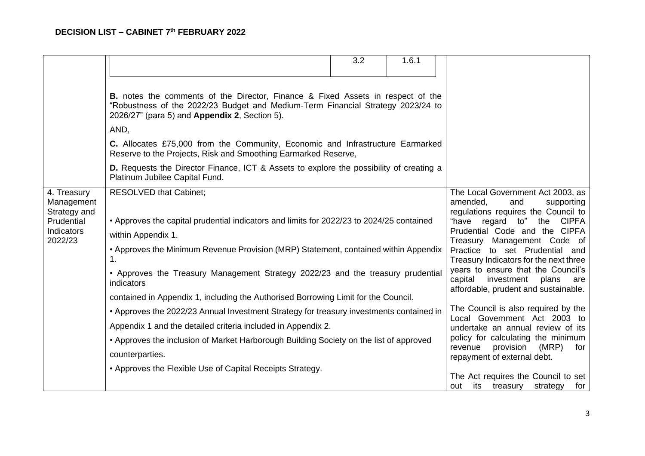|                                                                                  |                                                                                                                                                                                                                                                                                                                                                                                                                                     | 3.2 | 1.6.1 |                                                                                                                                                                                                                                                                                                                                                                                                                         |
|----------------------------------------------------------------------------------|-------------------------------------------------------------------------------------------------------------------------------------------------------------------------------------------------------------------------------------------------------------------------------------------------------------------------------------------------------------------------------------------------------------------------------------|-----|-------|-------------------------------------------------------------------------------------------------------------------------------------------------------------------------------------------------------------------------------------------------------------------------------------------------------------------------------------------------------------------------------------------------------------------------|
|                                                                                  | <b>B.</b> notes the comments of the Director, Finance & Fixed Assets in respect of the<br>"Robustness of the 2022/23 Budget and Medium-Term Financial Strategy 2023/24 to<br>2026/27" (para 5) and Appendix 2, Section 5).<br>AND,<br>C. Allocates £75,000 from the Community, Economic and Infrastructure Earmarked<br>Reserve to the Projects, Risk and Smoothing Earmarked Reserve,                                              |     |       |                                                                                                                                                                                                                                                                                                                                                                                                                         |
|                                                                                  | <b>D.</b> Requests the Director Finance, ICT & Assets to explore the possibility of creating a<br>Platinum Jubilee Capital Fund.                                                                                                                                                                                                                                                                                                    |     |       |                                                                                                                                                                                                                                                                                                                                                                                                                         |
| 4. Treasury<br>Management<br>Strategy and<br>Prudential<br>Indicators<br>2022/23 | <b>RESOLVED that Cabinet;</b><br>• Approves the capital prudential indicators and limits for 2022/23 to 2024/25 contained<br>within Appendix 1.<br>• Approves the Minimum Revenue Provision (MRP) Statement, contained within Appendix<br>1.<br>• Approves the Treasury Management Strategy 2022/23 and the treasury prudential<br>indicators<br>contained in Appendix 1, including the Authorised Borrowing Limit for the Council. |     |       | The Local Government Act 2003, as<br>amended,<br>supporting<br>and<br>regulations requires the Council to<br>"have regard to"<br><b>CIPFA</b><br>the<br>Prudential Code and the CIPFA<br>Treasury Management Code of<br>Practice to set Prudential and<br>Treasury Indicators for the next three<br>years to ensure that the Council's<br>investment<br>plans<br>capital<br>are<br>affordable, prudent and sustainable. |
|                                                                                  | • Approves the 2022/23 Annual Investment Strategy for treasury investments contained in<br>Appendix 1 and the detailed criteria included in Appendix 2.<br>• Approves the inclusion of Market Harborough Building Society on the list of approved<br>counterparties.<br>• Approves the Flexible Use of Capital Receipts Strategy.                                                                                                   |     |       | The Council is also required by the<br>Local Government Act 2003 to<br>undertake an annual review of its<br>policy for calculating the minimum<br>provision<br>(MRP)<br>revenue<br>for<br>repayment of external debt.<br>The Act requires the Council to set                                                                                                                                                            |
|                                                                                  |                                                                                                                                                                                                                                                                                                                                                                                                                                     |     |       | its<br>treasury<br>strategy<br>for<br>out                                                                                                                                                                                                                                                                                                                                                                               |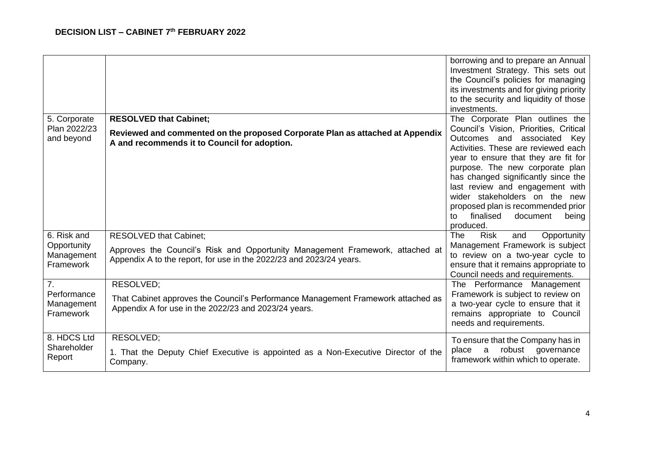|                                                          |                                                                                                                                                                                       | borrowing and to prepare an Annual<br>Investment Strategy. This sets out<br>the Council's policies for managing<br>its investments and for giving priority<br>to the security and liquidity of those<br>investments.                                                                                                                                                                                                                |
|----------------------------------------------------------|---------------------------------------------------------------------------------------------------------------------------------------------------------------------------------------|-------------------------------------------------------------------------------------------------------------------------------------------------------------------------------------------------------------------------------------------------------------------------------------------------------------------------------------------------------------------------------------------------------------------------------------|
| 5. Corporate<br>Plan 2022/23<br>and beyond               | <b>RESOLVED that Cabinet;</b><br>Reviewed and commented on the proposed Corporate Plan as attached at Appendix<br>A and recommends it to Council for adoption.                        | The Corporate Plan outlines the<br>Council's Vision, Priorities, Critical<br>Outcomes and associated<br>Key<br>Activities. These are reviewed each<br>year to ensure that they are fit for<br>purpose. The new corporate plan<br>has changed significantly since the<br>last review and engagement with<br>wider stakeholders on the new<br>proposed plan is recommended prior<br>finalised<br>document<br>to<br>being<br>produced. |
| 6. Risk and<br>Opportunity<br>Management<br>Framework    | <b>RESOLVED that Cabinet;</b><br>Approves the Council's Risk and Opportunity Management Framework, attached at<br>Appendix A to the report, for use in the 2022/23 and 2023/24 years. | <b>Risk</b><br>Opportunity<br>The<br>and<br>Management Framework is subject<br>to review on a two-year cycle to<br>ensure that it remains appropriate to<br>Council needs and requirements.                                                                                                                                                                                                                                         |
| 7 <sub>1</sub><br>Performance<br>Management<br>Framework | RESOLVED:<br>That Cabinet approves the Council's Performance Management Framework attached as<br>Appendix A for use in the 2022/23 and 2023/24 years.                                 | The Performance Management<br>Framework is subject to review on<br>a two-year cycle to ensure that it<br>remains appropriate to Council<br>needs and requirements.                                                                                                                                                                                                                                                                  |
| 8. HDCS Ltd<br>Shareholder<br>Report                     | RESOLVED;<br>1. That the Deputy Chief Executive is appointed as a Non-Executive Director of the<br>Company.                                                                           | To ensure that the Company has in<br>robust<br>place<br>a<br>governance<br>framework within which to operate.                                                                                                                                                                                                                                                                                                                       |